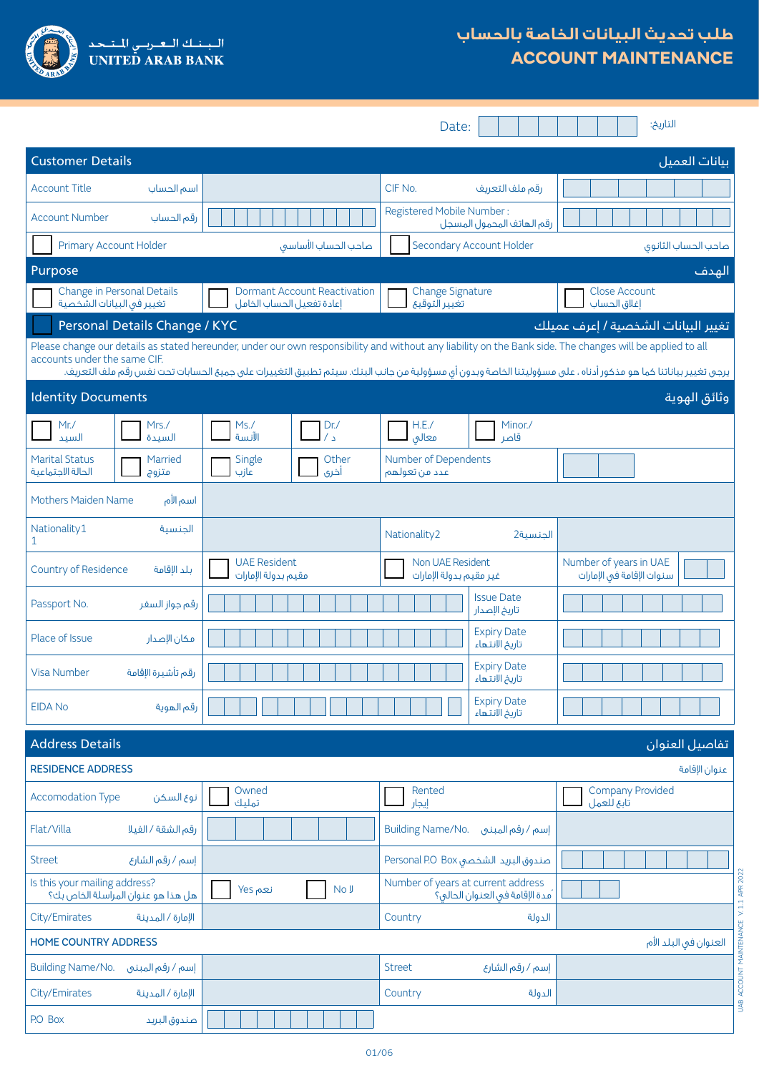

# **طلب تحديث البيانات الخاصة بالحساب ACCOUNT MAINTENANCE**

|                                                                                                                                                                                                                                                                                                                                                                                                                                     |                                                                  | Date:                                                                 | التاريخ:                                            |  |  |
|-------------------------------------------------------------------------------------------------------------------------------------------------------------------------------------------------------------------------------------------------------------------------------------------------------------------------------------------------------------------------------------------------------------------------------------|------------------------------------------------------------------|-----------------------------------------------------------------------|-----------------------------------------------------|--|--|
| <b>Customer Details</b><br>بيانات العميل                                                                                                                                                                                                                                                                                                                                                                                            |                                                                  |                                                                       |                                                     |  |  |
| <b>Account Title</b><br>اسم الحساب                                                                                                                                                                                                                                                                                                                                                                                                  |                                                                  | CIF No.<br>رقم ملف التعريف                                            |                                                     |  |  |
| <b>Account Number</b><br>رقم الحساب                                                                                                                                                                                                                                                                                                                                                                                                 |                                                                  | Registered Mobile Number:<br>رقم الهاتف المحمول المسجل                |                                                     |  |  |
| Primary Account Holder                                                                                                                                                                                                                                                                                                                                                                                                              | صاحب الحساب الأساسق                                              | Secondary Account Holder                                              | صاحب الحساب الثانوق                                 |  |  |
| Purpose                                                                                                                                                                                                                                                                                                                                                                                                                             |                                                                  |                                                                       | الهدف                                               |  |  |
| Change in Personal Details<br>تغيير فى البيانات الشخصية                                                                                                                                                                                                                                                                                                                                                                             | <b>Dormant Account Reactivation</b><br>إعادة تفعيل الحساب الخامل | <b>Change Signature</b><br>تغيير التوقيع                              | Close Account<br>إغلاق الحساب                       |  |  |
| Personal Details Change / KYC<br>تغيير البيانات الشخصية / إعرف عميلك<br>Please change our details as stated hereunder, under our own responsibility and without any liability on the Bank side. The changes will be applied to all<br>accounts under the same CIF.<br>يرجى تغيير بياناتنا كما هو مذكور أدناه ، على مسؤوليتنا الخاصة وبدون أى مسؤولية من جانب البنك. سيتم تطبيق التغييرات على جميع الحسابات تحت نفس رقم ملف التعريف. |                                                                  |                                                                       |                                                     |  |  |
| <b>Identity Documents</b>                                                                                                                                                                                                                                                                                                                                                                                                           |                                                                  |                                                                       | وثائق الهوية                                        |  |  |
| Mr. /<br>Mrs. /<br>السيد<br>السيدة                                                                                                                                                                                                                                                                                                                                                                                                  | Ms.<br>Dr.<br>$\sqrt{2}$<br>الآنسة                               | H.E.<br>Minor./<br>قاصر<br>معالق                                      |                                                     |  |  |
| <b>Marital Status</b><br>Married<br>الحالة الاجتماعية<br>متزوج                                                                                                                                                                                                                                                                                                                                                                      | Single<br>Other<br>عازب<br>أخرى                                  | Number of Dependents<br>عدد من تعولهم                                 |                                                     |  |  |
| Mothers Maiden Name<br>اسم الأم                                                                                                                                                                                                                                                                                                                                                                                                     |                                                                  |                                                                       |                                                     |  |  |
| Nationality1<br>الحنسية<br>1                                                                                                                                                                                                                                                                                                                                                                                                        |                                                                  | Nationality2<br>الجنسية2                                              |                                                     |  |  |
| Country of Residence<br>بلد الإقامة                                                                                                                                                                                                                                                                                                                                                                                                 | <b>UAE Resident</b><br>مقيم بدولة الإمارات                       | Non UAE Resident<br>غير مقيم بدولة الإمارات                           | Number of years in UAE<br>سنوات الإقامة في الإمارات |  |  |
| Passport No.<br>رقم جواز السفر                                                                                                                                                                                                                                                                                                                                                                                                      |                                                                  | <b>Issue Date</b><br>تاريخ الإصدار                                    |                                                     |  |  |
| Place of Issue<br>مكان الإصدار                                                                                                                                                                                                                                                                                                                                                                                                      |                                                                  | <b>Expiry Date</b><br>تاريخ الانتهاء                                  |                                                     |  |  |
| رقم تأشيرة الإقامة<br><b>Visa Number</b>                                                                                                                                                                                                                                                                                                                                                                                            |                                                                  | <b>Expiry Date</b><br>تاريخ الانتهاء                                  |                                                     |  |  |
| <b>EIDA No</b><br>رقم الهوية                                                                                                                                                                                                                                                                                                                                                                                                        |                                                                  | <b>Expiry Date</b><br>تاريخ الانتهاء                                  |                                                     |  |  |
| <b>Address Details</b>                                                                                                                                                                                                                                                                                                                                                                                                              |                                                                  |                                                                       | تفاصيل العنوان                                      |  |  |
| <b>RESIDENCE ADDRESS</b>                                                                                                                                                                                                                                                                                                                                                                                                            |                                                                  |                                                                       | عنوان الإقامة                                       |  |  |
| <b>Accomodation Type</b><br>نوع السكن                                                                                                                                                                                                                                                                                                                                                                                               | Owned<br>تمليك                                                   | Rented<br>إيجار                                                       | <b>Company Provided</b><br>تابع للعمل               |  |  |
| رقم الشقة / الفيلا<br>Flat/Villa                                                                                                                                                                                                                                                                                                                                                                                                    |                                                                  | <b>Building Name/No.</b><br>إسم / رقم المبنى                          |                                                     |  |  |
| إسم / رقم الشارع<br><b>Street</b>                                                                                                                                                                                                                                                                                                                                                                                                   |                                                                  | صندوق البريد الشخصى Personal P.O Box                                  |                                                     |  |  |
| Is this your mailing address?<br>هل هذا هو عنوان المرآسلة الخاص بك؟                                                                                                                                                                                                                                                                                                                                                                 | نعم Yes<br>No J                                                  | Number of years at current address<br>ُمدة الإقامة في العنوان الحالي؟ |                                                     |  |  |
| City/Emirates<br>الإمارة / المدينة                                                                                                                                                                                                                                                                                                                                                                                                  |                                                                  |                                                                       |                                                     |  |  |
| <b>HOME COUNTRY ADDRESS</b><br>العنوان في البلد الأم                                                                                                                                                                                                                                                                                                                                                                                |                                                                  |                                                                       |                                                     |  |  |
| <b>Building Name/No.</b><br>إسم / رقم المبنى                                                                                                                                                                                                                                                                                                                                                                                        |                                                                  | إسم / رقم الشارع<br><b>Street</b>                                     |                                                     |  |  |
| City/Emirates<br>الإمارة / المدينة                                                                                                                                                                                                                                                                                                                                                                                                  |                                                                  | Country<br>الدولة                                                     |                                                     |  |  |
| P.O Box<br>صندوق البريد                                                                                                                                                                                                                                                                                                                                                                                                             |                                                                  |                                                                       |                                                     |  |  |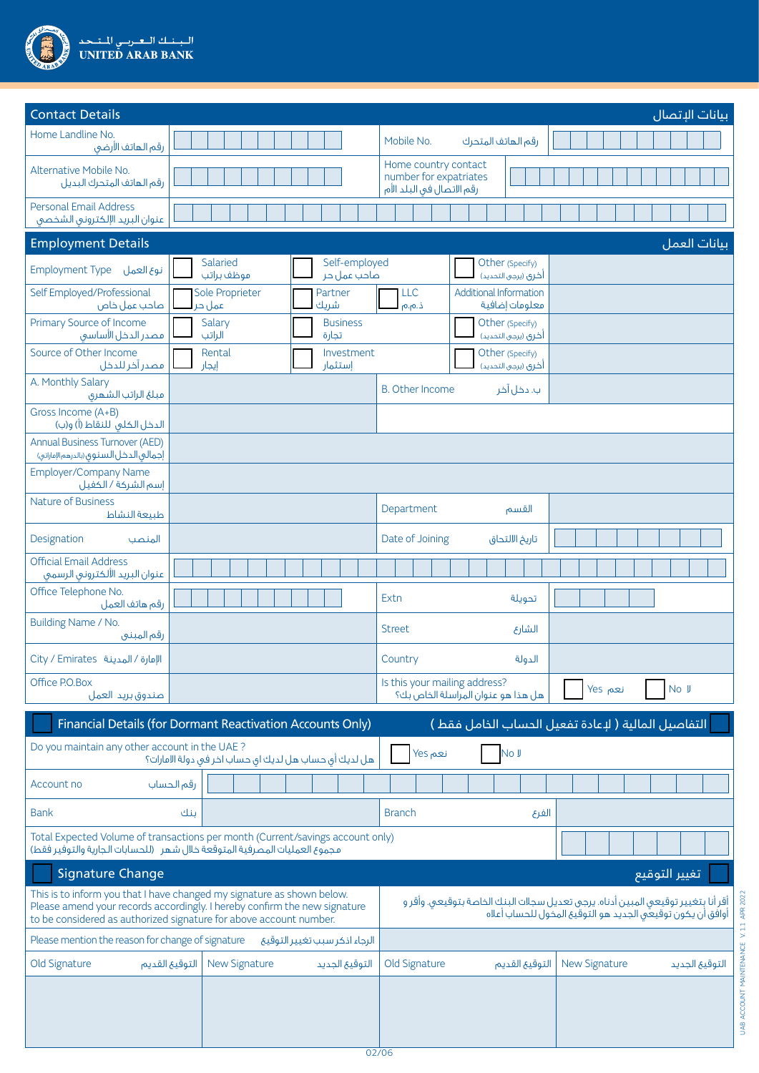

| <b>Contact Details</b><br>بيانات الإتصال                                                                                                                                                                                                                                                                                                                                      |                                                            |                                                                                        |  |  |  |  |
|-------------------------------------------------------------------------------------------------------------------------------------------------------------------------------------------------------------------------------------------------------------------------------------------------------------------------------------------------------------------------------|------------------------------------------------------------|----------------------------------------------------------------------------------------|--|--|--|--|
| Home Landline No.<br>رقم الهاتف الأرضى                                                                                                                                                                                                                                                                                                                                        |                                                            | Mobile No.<br>رقم الهاتف المتحرك                                                       |  |  |  |  |
| Alternative Mobile No.<br>رقم الهاتف المتحرك البديل                                                                                                                                                                                                                                                                                                                           |                                                            | Home country contact<br>number for expatriates<br>رقم الاتصال في البلد الأم            |  |  |  |  |
| <b>Personal Email Address</b><br>عنوان البريد الإلكترونى الشخصى                                                                                                                                                                                                                                                                                                               |                                                            |                                                                                        |  |  |  |  |
| <b>Employment Details</b>                                                                                                                                                                                                                                                                                                                                                     |                                                            | بيانات العمل                                                                           |  |  |  |  |
| Employment Type نوع العمل                                                                                                                                                                                                                                                                                                                                                     | Salaried<br>Self-employed<br>صاحب عمل حر<br>موظف براتب     | Other (Specify)<br>أخرى (يرجى التحديد)                                                 |  |  |  |  |
| Self Employed/Professional<br>صاحب عمل خاص                                                                                                                                                                                                                                                                                                                                    | Sole Proprieter<br>Partner<br>شريك<br>عمل حر               | <b>Additional Information</b><br>LLC<br>معلومات إضافية<br>ذ.م.م                        |  |  |  |  |
| Primary Source of Income<br>فصدر الدخل الأساسق                                                                                                                                                                                                                                                                                                                                | Salary<br><b>Business</b><br>الراتب<br>تجارة               | Other (Specify)<br>أخرى (يرجى التحديد)                                                 |  |  |  |  |
| Source of Other Income<br>مصدر آخر للدخل                                                                                                                                                                                                                                                                                                                                      | Rental<br>Investment<br>إيجار<br>إستثمار                   | Other (Specify)<br>أخرى (يرجى التحديد)                                                 |  |  |  |  |
| A. Monthly Salary<br>مبلغ الراتب الشهرى                                                                                                                                                                                                                                                                                                                                       |                                                            | <b>B.</b> Other Income<br>ب. دخل آخر                                                   |  |  |  |  |
| Gross Income (A+B)<br>الدخل الكلي للنقاط (أ) و(ب)                                                                                                                                                                                                                                                                                                                             |                                                            |                                                                                        |  |  |  |  |
| <b>Annual Business Turnover (AED)</b><br>إجمالي الدخل السنوق (بالدرهم الإماراتي)                                                                                                                                                                                                                                                                                              |                                                            |                                                                                        |  |  |  |  |
| <b>Employer/Company Name</b><br>إسم الشركة / الكفيل                                                                                                                                                                                                                                                                                                                           |                                                            |                                                                                        |  |  |  |  |
| <b>Nature of Business</b><br>طبيعة النشاط                                                                                                                                                                                                                                                                                                                                     |                                                            | Department<br>القسم                                                                    |  |  |  |  |
| Designation<br>المنصب                                                                                                                                                                                                                                                                                                                                                         |                                                            | Date of Joining<br>تاريخ الالتحاق                                                      |  |  |  |  |
| <b>Official Email Address</b><br>عنوان البريد الألكترونى الرسمى                                                                                                                                                                                                                                                                                                               |                                                            |                                                                                        |  |  |  |  |
| Office Telephone No.<br>رقم هاتف العمل                                                                                                                                                                                                                                                                                                                                        |                                                            | Extn<br>تحويلة                                                                         |  |  |  |  |
| Building Name / No.<br>رقم المبني                                                                                                                                                                                                                                                                                                                                             |                                                            | <b>Street</b><br>الشارع                                                                |  |  |  |  |
| Oity / Emirates أللهدينة                                                                                                                                                                                                                                                                                                                                                      |                                                            | Country<br>الدولة                                                                      |  |  |  |  |
| Office P.O.Box<br>صندوق بريد العمل                                                                                                                                                                                                                                                                                                                                            |                                                            | Is this your mailing address?<br>نعم Yes<br>No J<br>هل هذا هو عنوان المراسلة الخاص بك؟ |  |  |  |  |
|                                                                                                                                                                                                                                                                                                                                                                               | Financial Details (for Dormant Reactivation Accounts Only) | التفاصيل المالية ( لإعادة تفعيل الحساب الخامل فقط )                                    |  |  |  |  |
| Do you maintain any other account in the UAE?                                                                                                                                                                                                                                                                                                                                 | هل لديك أي حساب هل لديك اي حساب اخر في دولة الامارات؟      | No J<br>نعم Yes                                                                        |  |  |  |  |
| Account no                                                                                                                                                                                                                                                                                                                                                                    | رقم الحساب                                                 |                                                                                        |  |  |  |  |
| <b>Bank</b>                                                                                                                                                                                                                                                                                                                                                                   | ىنك                                                        | <b>Branch</b><br>الفرع                                                                 |  |  |  |  |
| Total Expected Volume of transactions per month (Current/savings account only)<br>مجموع العمليات المصرفية المتوقعة خلال شهر (للحسابات الجارية والتوفير فقط)                                                                                                                                                                                                                   |                                                            |                                                                                        |  |  |  |  |
| Signature Change                                                                                                                                                                                                                                                                                                                                                              |                                                            |                                                                                        |  |  |  |  |
| This is to inform you that I have changed my signature as shown below.<br>أقر أنا بتغيير توقيعي المبين أدناه. يرجى تعديل سجلات البنك الخاصة بتوقيعي. وأقر و<br>Please amend your records accordingly. I hereby confirm the new signature<br>أوافق أن يكون توقيعَى الجديد هو التوقيع المخول للحساب أعلاه<br>to be considered as authorized signature for above account number. |                                                            |                                                                                        |  |  |  |  |
| Please mention the reason for change of signature                                                                                                                                                                                                                                                                                                                             | الرجاء اذكر سبب تغيير التوقيع                              |                                                                                        |  |  |  |  |
| Old Signature                                                                                                                                                                                                                                                                                                                                                                 | <b>New Signature</b><br>التوقيع القديم<br>التوقيع الجديد   | Old Signature<br><b>New Signature</b><br>التوقيع القديم<br>التوقيع الجديد              |  |  |  |  |
|                                                                                                                                                                                                                                                                                                                                                                               |                                                            |                                                                                        |  |  |  |  |
|                                                                                                                                                                                                                                                                                                                                                                               |                                                            |                                                                                        |  |  |  |  |
|                                                                                                                                                                                                                                                                                                                                                                               |                                                            | 02/06                                                                                  |  |  |  |  |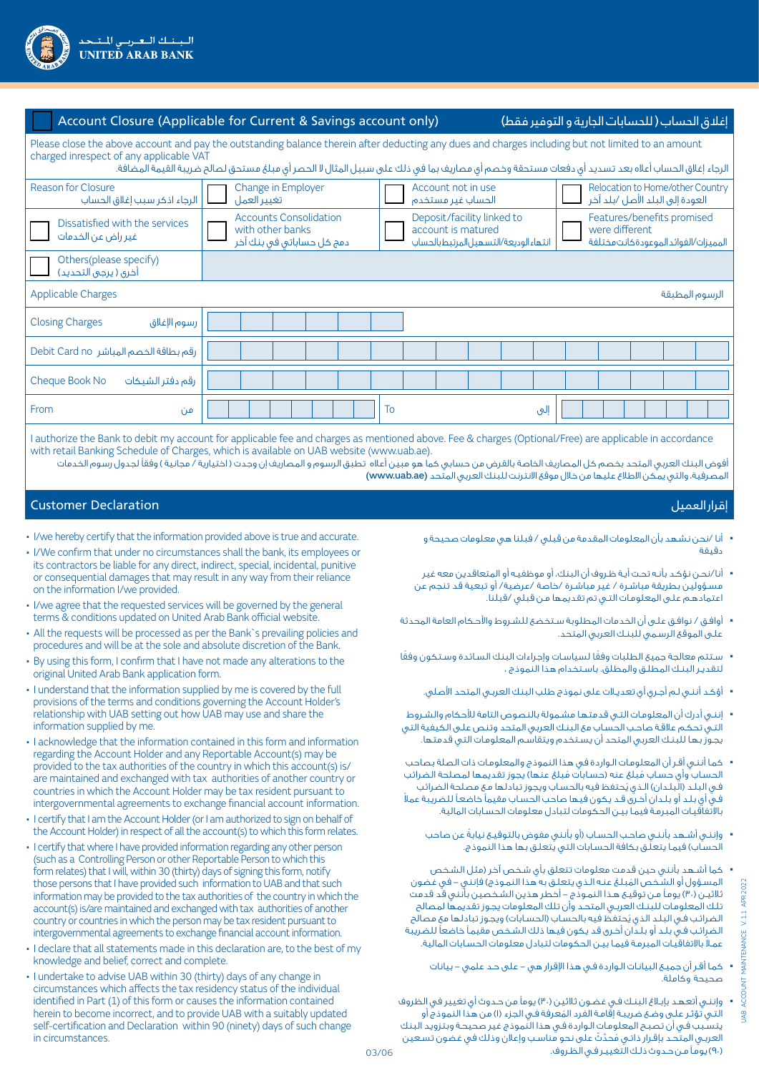

|                                                                                                                                                                                                                                                                                                                                                   | Account Closure (Applicable for Current & Savings account only)                                                                                                              |                                         | إغلاق الحساب ( للحسابات الجارية و التوفير فقط)                                       |  |  |
|---------------------------------------------------------------------------------------------------------------------------------------------------------------------------------------------------------------------------------------------------------------------------------------------------------------------------------------------------|------------------------------------------------------------------------------------------------------------------------------------------------------------------------------|-----------------------------------------|--------------------------------------------------------------------------------------|--|--|
| Please close the above account and pay the outstanding balance therein after deducting any dues and charges including but not limited to an amount<br>charged inrespect of any applicable VAT<br>الرجاء إغلاق الحساب أعلاه بعد تسديد أى دفعات مستحقة وخصم أى مصاريف بما فى ذلك على سبيل المثال لا الحصر أى مبلغ مستحق لصالح ضريبة القيمة المضافة. |                                                                                                                                                                              |                                         |                                                                                      |  |  |
| Reason for Closure<br>الرجاء اذكر سبب إغلاق الحساب                                                                                                                                                                                                                                                                                                | Change in Employer<br>تغيير العمل                                                                                                                                            | Account not in use<br>الحساب غير مستخدم | Relocation to Home/other Country<br>العودة إلى البلد الأصل /بلد آخر                  |  |  |
| Dissatisfied with the services<br>غير راض عن الخدمات                                                                                                                                                                                                                                                                                              | Deposit/facility linked to<br><b>Accounts Consolidation</b><br>with other banks<br>account is matured<br>دمج کل حساباتی فی بنك آخر<br>انتهاء الوديعة/التسهيل المرتبط بالحساب |                                         | Features/benefits promised<br>were different<br>المميزات/الفوائد الموعودةكانت مختلفة |  |  |
| Others(please specify)<br>آخری ( یرجی التحدید)                                                                                                                                                                                                                                                                                                    |                                                                                                                                                                              |                                         |                                                                                      |  |  |
| <b>Applicable Charges</b><br>الرسوم المطبقة                                                                                                                                                                                                                                                                                                       |                                                                                                                                                                              |                                         |                                                                                      |  |  |
| <b>Closing Charges</b><br>رسوم الإغلاق                                                                                                                                                                                                                                                                                                            |                                                                                                                                                                              |                                         |                                                                                      |  |  |
| رقم بطاقة الخصم المباشر Debit Card no                                                                                                                                                                                                                                                                                                             |                                                                                                                                                                              |                                         |                                                                                      |  |  |
| Cheque Book No<br>رقم دفتر الشيكات                                                                                                                                                                                                                                                                                                                |                                                                                                                                                                              |                                         |                                                                                      |  |  |
| From<br>من                                                                                                                                                                                                                                                                                                                                        |                                                                                                                                                                              | To<br>إلىي                              |                                                                                      |  |  |
|                                                                                                                                                                                                                                                                                                                                                   |                                                                                                                                                                              |                                         |                                                                                      |  |  |

I authorize the Bank to debit my account for applicable fee and charges as mentioned above. Fee & charges (Optional/Free) are applicable in accordance with retail Banking Schedule of Charges, which is available on UAB website (www.uab.ae).

أفوض البنك العربي المتحد بخصم كل المصاريف الخاصة بالقرض من حسابي كما هو مبين أعاله تطبق الرسوم و المصاريف إن وجدت ) اختيارية / مجانية ( وفقًا لجدول رسوم الخدمات المصرفية، والتي يمكن الاطلاع عليها من خلال موقع الانترنت للبنك العربي المتّحد (www.uab.ae)

## إقرار العميل Declaration Customer

- I/we hereby certify that the information provided above is true and accurate.
- I/We confirm that under no circumstances shall the bank, its employees or its contractors be liable for any direct, indirect, special, incidental, punitive or consequential damages that may result in any way from their reliance on the information I/we provided.
- I/we agree that the requested services will be governed by the general terms & conditions updated on United Arab Bank official website.
- All the requests will be processed as per the Bank`s prevailing policies and procedures and will be at the sole and absolute discretion of the Bank.
- By using this form, I confirm that I have not made any alterations to the original United Arab Bank application form.
- I understand that the information supplied by me is covered by the full provisions of the terms and conditions governing the Account Holder's relationship with UAB setting out how UAB may use and share the information supplied by me.
- I acknowledge that the information contained in this form and information regarding the Account Holder and any Reportable Account(s) may be provided to the tax authorities of the country in which this account(s) is/ are maintained and exchanged with tax authorities of another country or countries in which the Account Holder may be tax resident pursuant to intergovernmental agreements to exchange financial account information.
- I certify that I am the Account Holder (or I am authorized to sign on behalf of the Account Holder) in respect of all the account(s) to which this form relates.
- I certify that where I have provided information regarding any other person (such as a Controlling Person or other Reportable Person to which this form relates) that I will, within 30 (thirty) days of signing this form, notify those persons that I have provided such information to UAB and that such information may be provided to the tax authorities of the country in which the account(s) is/are maintained and exchanged with tax authorities of another country or countries in which the person may be tax resident pursuant to intergovernmental agreements to exchange financial account information.
- I declare that all statements made in this declaration are, to the best of my knowledge and belief, correct and complete.
- I undertake to advise UAB within 30 (thirty) days of any change in circumstances which affects the tax residency status of the individual identified in Part (1) of this form or causes the information contained herein to become incorrect, and to provide UAB with a suitably updated self-certification and Declaration within 90 (ninety) days of such change in circumstances.

- أنا /نحن نشهد بأن المعلومات المقدمة من قبلي / فبلنا هي معلومات صحيحة و دقيقة
- أنا/نحـن نؤكـد بأنـه تحـت أيـة ظـروف أن البنك، أو موظفيـه أو المتعاقدين معه غير مسـؤولين بطريقة مباشـرة / غير مباشـرة /خاصة /عرضية/ أو تبعية قد تنجم عن اعتمادهـم علـى المعلومـات التـي تم تقديمها مـن قبلي /قبلنا.
- أوافـق / نوافـق علـى أن الخدمات المطلوبة سـتخضع للشـروط واألحـكام العامة المحدثة علـى الموقع الرسـمي للبنـك العربي المتحد.
- ً سـتتم معالجة جميع الطلبات وفق ً ا لسياسـات وإجراءات البنك السـائدة وسـتكون وفقا لتقديـر البنـك المطلـق والمطلق. باسـتخدام هذا النموذج ،
	- أؤكـد أننـي لـم أجـري أي تعديـات على نموذج طلب البنك العربـي المتحد األصلي.
- إننـي أدرك أن المعلومـات التـي قدمتهـا مشـمولة بالنصوص التامة لألحكام والشـروط التـي تحكـم عالقـة صاحـب الحسـاب مع البنـك العربي المتحد وتنص علـى الكيفية التي يجـوز بهـا للبنـك العربي المتحد أن يسـتخدم ويتقاسـم المعلومـات التي قدمتها.
- كمـا أننـي أقـر أن المعلومـات الـواردة في هذا النموذج والمعلومـات ذات الصلة بصاحب الحساب وأي حساب مُبلغ عنه (حسابات مُبلغ عنها) يجوز تقديمها لمصلحة الضرائب فـي البـلـد (الّبـلـدان) الـذي يُحتفظ فيه بالحساب ويجوز تبادلها مـع مصلحة الضرائب فـي أي بلـد أو بلـدان أخـرى قـد يكون فيها صاحب الحسـاب مقيمًا خاضعـً ً للضريبة عمال باالتفاقيـات المبرمـة فيمـا بيـن الحكومات لتبادل معلومات الحسـابات المالية.
	- ً وإننـي أشـهد بأننـي صاحـب الحسـاب )أو بأنني مفوض بالتوقيـع نيابة عن صاحب الحساب) فيما يتعلّـق بكافة الحسابات التي يتعلـق بها هذا النموذج.
- كما أشـهد بأنني حين قدمت معلومات تتعلق بأي شـخص آخر )مثل الشـخص المسؤول أو الشـخص المُبلـغ عنـه الـذي يتعلـق به هذا النمـوذج) فإنني – في غضون ثلاثيـن (٣٠) يومـاً مـن توقيـع هـذا النمـوذج – أخطر هذين الشخصين بأنني قد قدمت تلـك المعلومـات للبنـك العربـي المتحـد وأن تلك المعلومات يجـوز تقديمها لمصالح الضرائب فـي البـلـد الذي يُحتفظ فيه بالحسـاب (الحسـابات) ويجـوز تبادلها مع مصالح الضرائـب فـي بلـد أو بلـدان أخـرى قد يكون فيها ذلك الشـخص مقيمـً خاضعًا للضريبة عمـ ًا باالتفاقيـات المبرمـة فيمـا بيـن الحكومات لتبادل معلومات الحسـابات المالية.
	- كمـا أقـر أن جميـع البيانـات الـواردة فـي هذا اإلقرار هي على حـد علمي بيانات صحيحة وكاملة.
- وإننـي أتعهـد بإبـاغ البنـك فـي غضـون ثالثين )30( يومًا من حـدوث أي تغيير في الظروف لتـي تؤثـر علـى وضـع ضريبـة إقامـة الفرد المُعرفة فـي الجزء (١) من هذا النموذج أو يتسـبب فـي أن تصبـح المعلومـات الـواردة فـي هذا النموذج غير صحيحـة وبتزويد البنك العربـي المتحـد بإقـرار ذاتـي مُحدّثّ على نحو مناسـب وإعلان وذلك في غضون تسـعين )90( يومـً مـن حـدوث ذلـك التغييـر فـي الظـروف.

**B**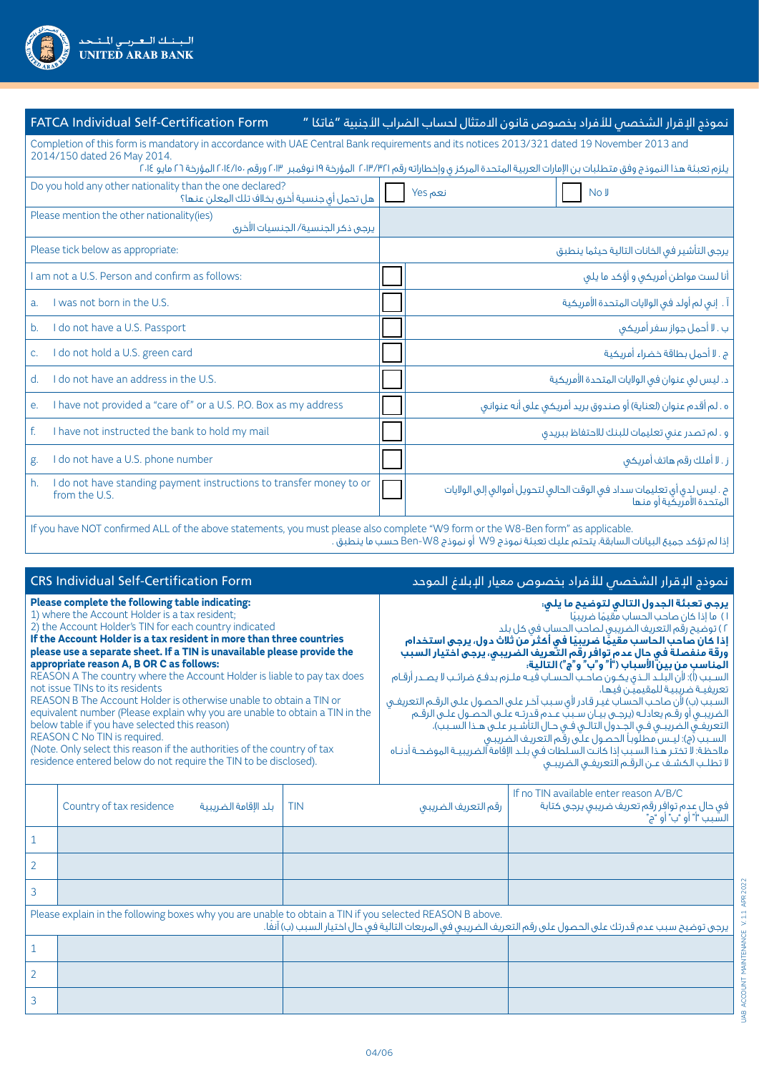| <b>FATCA Individual Self-Certification Form</b>                                                                                                                                                                                                                                                                                         | نموذج الإقرار الشخصص للأفراد بخصوص قانون الامتثال لحساب الضراب الأجنبية "فاتكا "                    |  |  |
|-----------------------------------------------------------------------------------------------------------------------------------------------------------------------------------------------------------------------------------------------------------------------------------------------------------------------------------------|-----------------------------------------------------------------------------------------------------|--|--|
| Completion of this form is mandatory in accordance with UAE Central Bank requirements and its notices 2013/321 dated 19 November 2013 and<br>2014/150 dated 26 May 2014.<br>يلزم تعبئة هذا النموذج وفق متطلبات بن الإمارات العربية المتحدة المركز ى وإخطاراته رقم ٢٠١٣/٣٢١٦ المؤرخة ١٩ نوفمبر ١٣٠٣، ورقم ٢٠١٤/١٠٢٠ المؤرخة ٢٦ مايو ٢٠١٤ |                                                                                                     |  |  |
|                                                                                                                                                                                                                                                                                                                                         |                                                                                                     |  |  |
| Do you hold any other nationality than the one declared?<br>هل تحمل أي جنسية أخرق بخلاف تلك المعلن عنها؟                                                                                                                                                                                                                                | نعم Yes<br>No J                                                                                     |  |  |
| Please mention the other nationality(ies)<br>يرجى ذكر الجنسية/ الجنسيات الأخرى                                                                                                                                                                                                                                                          |                                                                                                     |  |  |
| Please tick below as appropriate:                                                                                                                                                                                                                                                                                                       | يرجى التأشير فى الخانات التالية حيثما ينطبق                                                         |  |  |
| am not a U.S. Person and confirm as follows:                                                                                                                                                                                                                                                                                            | أنا لست مواطن أمريكي و أؤكد ما يلي                                                                  |  |  |
| I was not born in the U.S.<br>a.                                                                                                                                                                                                                                                                                                        | آ . إنى لم أولد فى الولايات المتحدة الأمريكية                                                       |  |  |
| I do not have a U.S. Passport<br>b.                                                                                                                                                                                                                                                                                                     | ب . لا أحمل جواز سفر أمريكي                                                                         |  |  |
| I do not hold a U.S. green card<br>C.                                                                                                                                                                                                                                                                                                   | ج . لا أحمل بطاقة خضراء أمريكية                                                                     |  |  |
| I do not have an address in the U.S.<br>$d_{\cdot}$                                                                                                                                                                                                                                                                                     | د. ليس لى عنوان فى الولايات المتحدة الأمريكية                                                       |  |  |
| I have not provided a "care of" or a U.S. P.O. Box as my address<br>e.                                                                                                                                                                                                                                                                  | ه . لم أقدم عنوان (لعناية) أو صندوق بريد أمريكي على أنه عنواني                                      |  |  |
| f.<br>I have not instructed the bank to hold my mail                                                                                                                                                                                                                                                                                    | و . لم تصدر عنى تعليمات للبنك للاحتفاظ ببريدق                                                       |  |  |
| I do not have a U.S. phone number<br>g.                                                                                                                                                                                                                                                                                                 | ز . لا أملك رقم هاتف أمريكي                                                                         |  |  |
| I do not have standing payment instructions to transfer money to or<br>h.<br>from the U.S.                                                                                                                                                                                                                                              | ح . ليس لدى أى تعليمات سداد فى الوقت الحالى لتحويل أموالى إلى الولايات<br>المتحدة الأمريكية أو منها |  |  |
|                                                                                                                                                                                                                                                                                                                                         |                                                                                                     |  |  |

If you have NOT confirmed ALL of the above statements, you must please also complete "W9 form or the W8-Ben form" as applicable. إذا لم تؤكد جميع البيانات السابقة، يتحتم عليك تعبئة نموذج 9W أو نموذج 8W-Ben حسب ما ينطبق .

| <b>CRS Individual Self-Certification Form</b>                                                                                                                                                                                                                                                                                                                                                                                                                                                                                                                                                                                                                                                                                                                                                                                                                 |                                                                                                                                                                                                                           |                                                                                                                                                                                                                                                                                                                                                                                                                                                                                                                                                                                                                                                                                                                                                                                                                                                                                                                                                                    |                     | نموذج الإقرار الشخصص للأفراد بخصوص معيار الإبلاغ الموحد                                                            |  |
|---------------------------------------------------------------------------------------------------------------------------------------------------------------------------------------------------------------------------------------------------------------------------------------------------------------------------------------------------------------------------------------------------------------------------------------------------------------------------------------------------------------------------------------------------------------------------------------------------------------------------------------------------------------------------------------------------------------------------------------------------------------------------------------------------------------------------------------------------------------|---------------------------------------------------------------------------------------------------------------------------------------------------------------------------------------------------------------------------|--------------------------------------------------------------------------------------------------------------------------------------------------------------------------------------------------------------------------------------------------------------------------------------------------------------------------------------------------------------------------------------------------------------------------------------------------------------------------------------------------------------------------------------------------------------------------------------------------------------------------------------------------------------------------------------------------------------------------------------------------------------------------------------------------------------------------------------------------------------------------------------------------------------------------------------------------------------------|---------------------|--------------------------------------------------------------------------------------------------------------------|--|
| Please complete the following table indicating:<br>1) where the Account Holder is a tax resident;<br>2) the Account Holder's TIN for each country indicated<br>If the Account Holder is a tax resident in more than three countries<br>please use a separate sheet. If a TIN is unavailable please provide the<br>appropriate reason A, B OR C as follows:<br>REASON A The country where the Account Holder is liable to pay tax does<br>not issue TINs to its residents<br>REASON B The Account Holder is otherwise unable to obtain a TIN or<br>equivalent number (Please explain why you are unable to obtain a TIN in the<br>below table if you have selected this reason)<br>REASON C No TIN is required.<br>(Note. Only select this reason if the authorities of the country of tax<br>residence entered below do not require the TIN to be disclosed). |                                                                                                                                                                                                                           | يرجى تعبئة الجدول التالى لتوضيح ما يلى:<br>١) ما إذا كان صاحب الحساب مقيمًا ضريبيًا<br>٢) توضيح رقم التعريف الضريبى لصاحب الحساب فى كل بلد<br>إذا كان صاحب الحاسب مقيمًا ضريبيًا في أكثر من ثلاث دول، يرجى استخدام<br>ورقة منفصلة في جال عدم توافر رقم التعريف الضريبي، يرجى اختيار السبب<br>الَّمناسب من بينِّ الأسباب ("أ " و "بّ " و "م ") التألُّية.<br>السـبب (أ): لأن البلـد الـذى يكـون صاحـب الحسـاب فيـه ملـزم بدفـع ضرائـب لا يصـدر أرقـام<br>تعريفيـة ضريبيـة للمقيميّن فيها،<br>السبب (ب) لأن صاحب الحساب غير قادر لأى سبب آخر على الحصول على الرقم التعريفى<br>الضريبـي أو رقـم يعادلـه (يرجـي بيـان سـببَ عـدم قدرتـه علـي الحصـول علـي الرقـم<br>التعريفـــق الضريبـــى فـــى الجــدول التالــى فــى حــال التأشــيـر علـــى هــذا الســبب)،<br>السـبب (م): ليـس مطلَّوباً الحصـول علَّى رقَّم التعريـف الضريبـي<br>ملاحظة: لا تختر هذا السبب إذا كانت السلطات في بلـد الإقامة الضريبيـة الموضحـة أدنـاه<br>لا تطلب الكشف عن الرقم التعريفى الضريبى |                     |                                                                                                                    |  |
|                                                                                                                                                                                                                                                                                                                                                                                                                                                                                                                                                                                                                                                                                                                                                                                                                                                               | Country of tax residence<br>بلد الإقامة الضريبية                                                                                                                                                                          | <b>TIN</b>                                                                                                                                                                                                                                                                                                                                                                                                                                                                                                                                                                                                                                                                                                                                                                                                                                                                                                                                                         | رقم التعريف الضريبى | If no TIN available enter reason A/B/C<br>فی حال عدم توافر رقم تعریف ضریبی پرجی کتابة<br>السَّبب "أ" أو "ب" أو "ج" |  |
| 1                                                                                                                                                                                                                                                                                                                                                                                                                                                                                                                                                                                                                                                                                                                                                                                                                                                             |                                                                                                                                                                                                                           |                                                                                                                                                                                                                                                                                                                                                                                                                                                                                                                                                                                                                                                                                                                                                                                                                                                                                                                                                                    |                     |                                                                                                                    |  |
| $\overline{2}$                                                                                                                                                                                                                                                                                                                                                                                                                                                                                                                                                                                                                                                                                                                                                                                                                                                |                                                                                                                                                                                                                           |                                                                                                                                                                                                                                                                                                                                                                                                                                                                                                                                                                                                                                                                                                                                                                                                                                                                                                                                                                    |                     |                                                                                                                    |  |
| 3                                                                                                                                                                                                                                                                                                                                                                                                                                                                                                                                                                                                                                                                                                                                                                                                                                                             |                                                                                                                                                                                                                           |                                                                                                                                                                                                                                                                                                                                                                                                                                                                                                                                                                                                                                                                                                                                                                                                                                                                                                                                                                    |                     |                                                                                                                    |  |
|                                                                                                                                                                                                                                                                                                                                                                                                                                                                                                                                                                                                                                                                                                                                                                                                                                                               | Please explain in the following boxes why you are unable to obtain a TIN if you selected REASON B above.<br>يرجى توضيح سبب عدم قدرتك على الحصول على رقم التعريف الضريبى فى المربعات التالية فى حال اختيار السبب (ب) آنفا. |                                                                                                                                                                                                                                                                                                                                                                                                                                                                                                                                                                                                                                                                                                                                                                                                                                                                                                                                                                    |                     |                                                                                                                    |  |
| $\mathbf{1}$                                                                                                                                                                                                                                                                                                                                                                                                                                                                                                                                                                                                                                                                                                                                                                                                                                                  |                                                                                                                                                                                                                           |                                                                                                                                                                                                                                                                                                                                                                                                                                                                                                                                                                                                                                                                                                                                                                                                                                                                                                                                                                    |                     |                                                                                                                    |  |
| $\overline{2}$                                                                                                                                                                                                                                                                                                                                                                                                                                                                                                                                                                                                                                                                                                                                                                                                                                                |                                                                                                                                                                                                                           |                                                                                                                                                                                                                                                                                                                                                                                                                                                                                                                                                                                                                                                                                                                                                                                                                                                                                                                                                                    |                     |                                                                                                                    |  |
| 3                                                                                                                                                                                                                                                                                                                                                                                                                                                                                                                                                                                                                                                                                                                                                                                                                                                             |                                                                                                                                                                                                                           |                                                                                                                                                                                                                                                                                                                                                                                                                                                                                                                                                                                                                                                                                                                                                                                                                                                                                                                                                                    |                     |                                                                                                                    |  |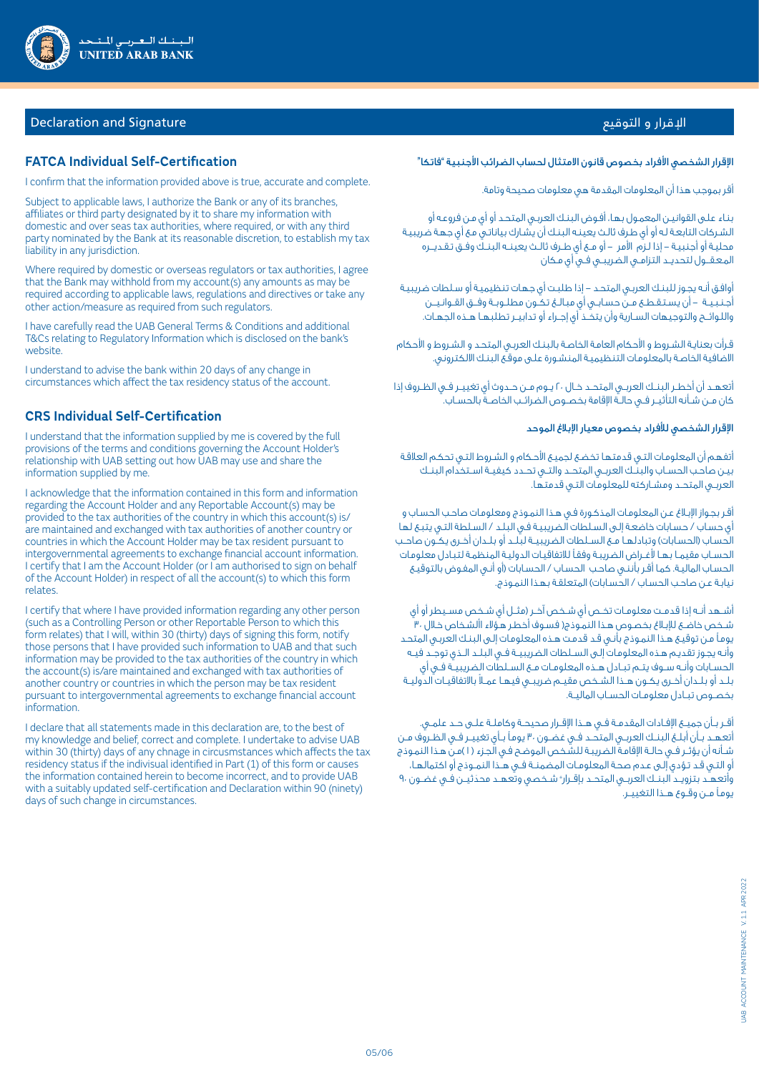

# اإلقرار و التوقيع Signature and Declaration

## **FATCA Individual Self-Certification**

I confirm that the information provided above is true, accurate and complete.

Subject to applicable laws, I authorize the Bank or any of its branches, affiliates or third party designated by it to share my information with domestic and over seas tax authorities, where required, or with any third party nominated by the Bank at its reasonable discretion, to establish my tax liability in any jurisdiction.

Where required by domestic or overseas regulators or tax authorities, I agree that the Bank may withhold from my account(s) any amounts as may be required according to applicable laws, regulations and directives or take any other action/measure as required from such regulators.

I have carefully read the UAB General Terms & Conditions and additional T&Cs relating to Regulatory Information which is disclosed on the bank's website.

I understand to advise the bank within 20 days of any change in circumstances which affect the tax residency status of the account.

## **CRS Individual Self-Certification**

I understand that the information supplied by me is covered by the full provisions of the terms and conditions governing the Account Holder's relationship with UAB setting out how UAB may use and share the information supplied by me.

I acknowledge that the information contained in this form and information regarding the Account Holder and any Reportable Account(s) may be provided to the tax authorities of the country in which this account(s) is/ are maintained and exchanged with tax authorities of another country or countries in which the Account Holder may be tax resident pursuant to intergovernmental agreements to exchange financial account information. I certify that I am the Account Holder (or I am authorised to sign on behalf of the Account Holder) in respect of all the account(s) to which this form relates.

I certify that where I have provided information regarding any other person (such as a Controlling Person or other Reportable Person to which this form relates) that I will, within 30 (thirty) days of signing this form, notify those persons that I have provided such information to UAB and that such information may be provided to the tax authorities of the country in which the account(s) is/are maintained and exchanged with tax authorities of another country or countries in which the person may be tax resident pursuant to intergovernmental agreements to exchange financial account information.

I declare that all statements made in this declaration are, to the best of my knowledge and belief, correct and complete. I undertake to advise UAB within 30 (thirty) days of any chnage in circusmstances which affects the tax residency status if the indivisual identified in Part (1) of this form or causes the information contained herein to become incorrect, and to provide UAB with a suitably updated self-certification and Declaration within 90 (ninety) days of such change in circumstances.

#### الإقرار الشخصي الأفراد بخصوص قانون الامتثال لحساب الضرائب الأجنبية "فاتكا"

أقر بموجب هذا أن المعلومات المقدمة هي معلومات صحيحة وتامة.

بنـاء علـى القوانيـن المعمـول بهـا، أفـوض البنـك العربـي المتحـد أو أي مـن فروعـه أو الشـركات التابعـة لـه أو أي طـرف ثالـث يعينـه البنـك أن يشـارك بياناتـي مـع أي جهـة ضريبيـة محليـة أو أجنبيـة - إذا لـزم األمر - أو مــع أي طــرف ثالــث يعينــه البنــك وفــق تـقـديـــره المـعـقــول لتحديــد التزامــي الضريبــي فــي أي مـكان

أوافـق أنـه يجـوز للبنـك العربـي المتحـد - إذا طلبـت أي جهـات تنظيميـة أو سـلطات ضريبيـة أجـنـبـيــة – أن يسـتـقـطــع مــن حسـابــى أي مبـالــغ تـكــون مطلــوبــة وفــق القــوانـيـــن واللـوائـــح والتوجيهات الســارية وأن يتخــذ أي إجــراء أو تدابيــر تطلبهــا هــذه الجهــات.

قـرأت بعنايـة الشـروط و األحكام العامـة الخاصـة بالبنـك العربـي المتحـد و الشـروط و األحكام االضافية الخاصـة بالمعلومـات التنظيميـة المنشـورة علـى موقـع البنـك االلكتروني.

أتعهــد أن أخطــر البنــك العربــي المتحــد خــال 20 يــوم مــن حــدوث أي تغييــر فــي الظــروف إذا كان مــن شــأنه التأثيــر فــي حالــة اإلقامة بخصــوص الضرائــب الخاصــة بالحســاب.

#### اإلقرار الشخصي لألفراد بخصوص معيار اإلبالغ الموحد

أتفهـم أن المعلومـات التـي قدمتهـا تخضـع لجميـع األحـكام و الشـروط التـي تحكـم العالقـة بيـن صاحـب الحســاب والبنــك العربــي المتحــد والتــي تحــدد كيفيــة اســتخدام البنــك العربــي المتحــد ومشــاركته للمعلومـات التـي قدمتهـا.

أقـر بجـواز اإلبـالغ عـن المعلومـات المذكـورة فـي هـذا النمـوذج ومعلومـات صاحـب الحسـاب و أي حسـاب / حسـابات خاضعـة إلـى السـلطات الضريبيـة فـي البلـد / السـلطة التـي يتبـع لهـا الحساب (الحسابات) وتبادلهـا مـع الســلطات الضريبيــة لبلــد أو بلــدان أخـرى يكــون صاحـب الحســاب مقيمــا بهــا ألغــراض الضريبـة وفقـًا لالتفاقيـات الدوليـة المنظمـة لتبـادل معلومـات الحسـاب الماليـة. كمـا أقـر بأننـي صاحـب الحسـاب / الحسـابات )أو أنـي المفـوض بالتوقيـع نيابـة عـن صاحـب الحسـاب / الحسـابات) المتعلقـة بهـذا النمـوذج.

أشــهد أنــه إذا قدمـت معلومـات تخــص أى شـخص آخــر (مثــل أى شـخص مســيطر أو أى شـخص خاضـع للإبـلاغ بخصـوص هـذا النمـوذج( فسـوف أخطـر هـوَّلاء األشـخاص خـلال ،٣٠ يومـًا مـن توقيـع هـذا النمـوذج بأنـي قـد قدمـت هـذه المعلومـات إلـى البنـك العربـي المتحـد وأنـه يجـوز تقديـم هـذه المعلومـات إلـى الســلطات الضريبيــة فــي البلــد الــذي توجــد فيــه الحســابات وأنــه ســوف يتــم تبــادل هــذه المعلومــات مــع الســلطات الضريبيــة فــي أي ً بلــد أو بلــدان أخــرى يكــون هــذا الشــخص مقيــم ضريبــي فيهــا عمــال باالتفاقيــات الدوليــة بخصــوص تبــادل معلومــات الحســاب الماليــة.

أقــر بــأن جميــع الإفـادات المقدمــة فــي هــذا الإقــرار صحيحــة وكاملــة علــى حــد علمــى. أتعهــد بــأن أبلــغ البنــك العربــي المتحــد فــي غضــون 30 يومـًا بــأي تغييــر فــي الظــروف مــن شــأنه أن يؤثــر فــي حالــة اإلقامـة الضريبـة للشـخص الموضـح فـي الجـزء ) 1 (مـن هـذا النمـوذج أو التـي قـد تـؤدي إلـى عـدم صحـة المعلومــات المضمنــة فــي هــذا النمــوذج أو اكتمالهــا، واتعهـد بتزويــد البنــك العربــي المتحــد بإقـرار" شـخصي وتعهــد محدّثيــن فـي غضـون ٩٠ يومـًا مــن وقــوع هــذا التغييــر.